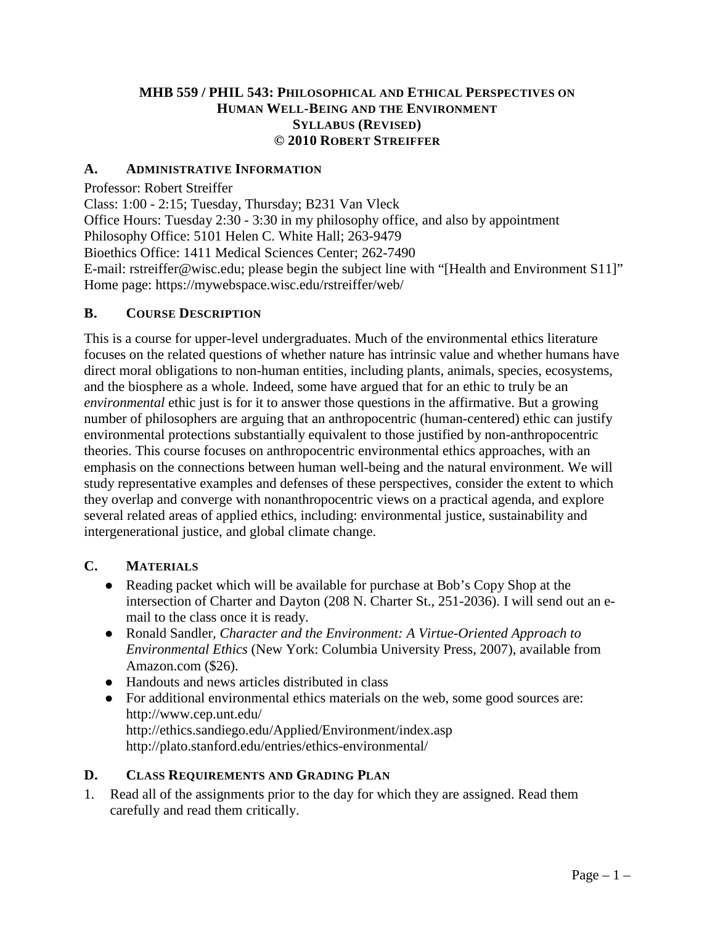## **MHB 559 / PHIL 543: PHILOSOPHICAL AND ETHICAL PERSPECTIVES ON HUMAN WELL-BEING AND THE ENVIRONMENT SYLLABUS (REVISED) © 2010 ROBERT STREIFFER**

### **A. ADMINISTRATIVE INFORMATION**

Professor: Robert Streiffer

Class: 1:00 - 2:15; Tuesday, Thursday; B231 Van Vleck

Office Hours: Tuesday 2:30 - 3:30 in my philosophy office, and also by appointment

Philosophy Office: 5101 Helen C. White Hall; 263-9479

Bioethics Office: 1411 Medical Sciences Center; 262-7490

E-mail: rstreiffer@wisc.edu; please begin the subject line with "[Health and Environment S11]" Home page: https://mywebspace.wisc.edu/rstreiffer/web/

#### **B. COURSE DESCRIPTION**

This is a course for upper-level undergraduates. Much of the environmental ethics literature focuses on the related questions of whether nature has intrinsic value and whether humans have direct moral obligations to non-human entities, including plants, animals, species, ecosystems, and the biosphere as a whole. Indeed, some have argued that for an ethic to truly be an *environmental* ethic just is for it to answer those questions in the affirmative. But a growing number of philosophers are arguing that an anthropocentric (human-centered) ethic can justify environmental protections substantially equivalent to those justified by non-anthropocentric theories. This course focuses on anthropocentric environmental ethics approaches, with an emphasis on the connections between human well-being and the natural environment. We will study representative examples and defenses of these perspectives, consider the extent to which they overlap and converge with nonanthropocentric views on a practical agenda, and explore several related areas of applied ethics, including: environmental justice, sustainability and intergenerational justice, and global climate change.

### **C. MATERIALS**

- Reading packet which will be available for purchase at Bob's Copy Shop at the intersection of Charter and Dayton (208 N. Charter St., 251-2036). I will send out an email to the class once it is ready.
- Ronald Sandler*, Character and the Environment: A Virtue-Oriented Approach to Environmental Ethics* (New York: Columbia University Press, 2007), available from Amazon.com (\$26).
- Handouts and news articles distributed in class
- For additional environmental ethics materials on the web, some good sources are: http://www.cep.unt.edu/ http://ethics.sandiego.edu/Applied/Environment/index.asp http://plato.stanford.edu/entries/ethics-environmental/

### **D. CLASS REQUIREMENTS AND GRADING PLAN**

1. Read all of the assignments prior to the day for which they are assigned. Read them carefully and read them critically.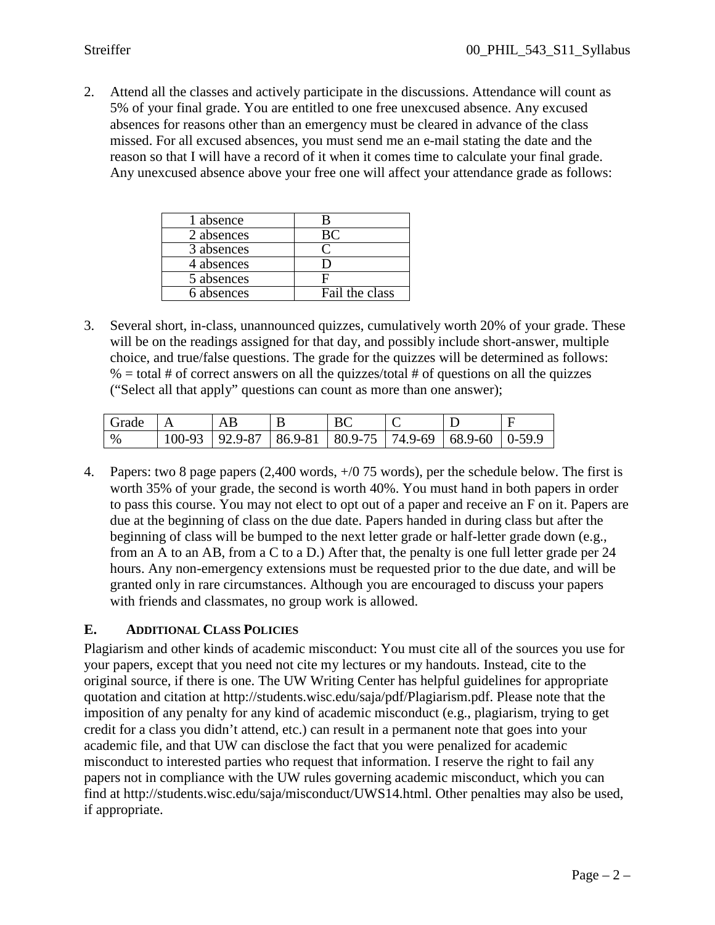2. Attend all the classes and actively participate in the discussions. Attendance will count as 5% of your final grade. You are entitled to one free unexcused absence. Any excused absences for reasons other than an emergency must be cleared in advance of the class missed. For all excused absences, you must send me an e-mail stating the date and the reason so that I will have a record of it when it comes time to calculate your final grade. Any unexcused absence above your free one will affect your attendance grade as follows:

| 1 absence  |                |
|------------|----------------|
| 2 absences |                |
| 3 absences |                |
| 4 absences |                |
| 5 absences |                |
| 6 absences | Fail the class |

3. Several short, in-class, unannounced quizzes, cumulatively worth 20% of your grade. These will be on the readings assigned for that day, and possibly include short-answer, multiple choice, and true/false questions. The grade for the quizzes will be determined as follows:  $% =$  total # of correct answers on all the quizzes/total # of questions on all the quizzes ("Select all that apply" questions can count as more than one answer);

| Grade |                                                                     |  | ╰ |  |
|-------|---------------------------------------------------------------------|--|---|--|
| %     | $100-93$   92.9-87   86.9-81   80.9-75   74.9-69   68.9-60   0-59.9 |  |   |  |

4. Papers: two 8 page papers (2,400 words, +/0 75 words), per the schedule below. The first is worth 35% of your grade, the second is worth 40%. You must hand in both papers in order to pass this course. You may not elect to opt out of a paper and receive an F on it. Papers are due at the beginning of class on the due date. Papers handed in during class but after the beginning of class will be bumped to the next letter grade or half-letter grade down (e.g., from an A to an AB, from a C to a D.) After that, the penalty is one full letter grade per 24 hours. Any non-emergency extensions must be requested prior to the due date, and will be granted only in rare circumstances. Although you are encouraged to discuss your papers with friends and classmates, no group work is allowed.

# **E. ADDITIONAL CLASS POLICIES**

Plagiarism and other kinds of academic misconduct: You must cite all of the sources you use for your papers, except that you need not cite my lectures or my handouts. Instead, cite to the original source, if there is one. The UW Writing Center has helpful guidelines for appropriate quotation and citation at http://students.wisc.edu/saja/pdf/Plagiarism.pdf. Please note that the imposition of any penalty for any kind of academic misconduct (e.g., plagiarism, trying to get credit for a class you didn't attend, etc.) can result in a permanent note that goes into your academic file, and that UW can disclose the fact that you were penalized for academic misconduct to interested parties who request that information. I reserve the right to fail any papers not in compliance with the UW rules governing academic misconduct, which you can find at http://students.wisc.edu/saja/misconduct/UWS14.html. Other penalties may also be used, if appropriate.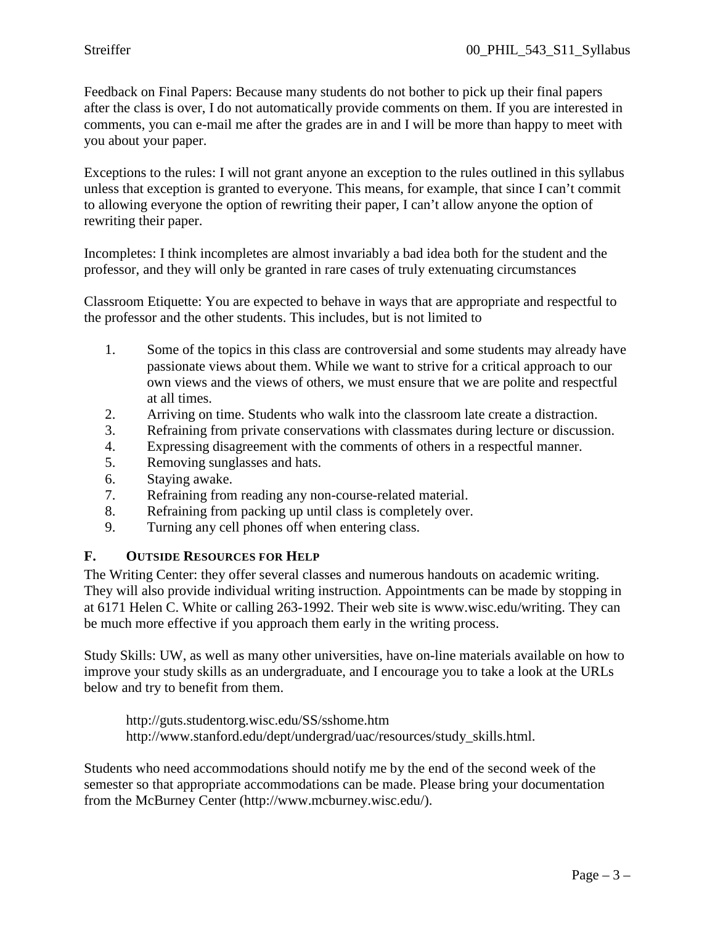Feedback on Final Papers: Because many students do not bother to pick up their final papers after the class is over, I do not automatically provide comments on them. If you are interested in comments, you can e-mail me after the grades are in and I will be more than happy to meet with you about your paper.

Exceptions to the rules: I will not grant anyone an exception to the rules outlined in this syllabus unless that exception is granted to everyone. This means, for example, that since I can't commit to allowing everyone the option of rewriting their paper, I can't allow anyone the option of rewriting their paper.

Incompletes: I think incompletes are almost invariably a bad idea both for the student and the professor, and they will only be granted in rare cases of truly extenuating circumstances

Classroom Etiquette: You are expected to behave in ways that are appropriate and respectful to the professor and the other students. This includes, but is not limited to

- 1. Some of the topics in this class are controversial and some students may already have passionate views about them. While we want to strive for a critical approach to our own views and the views of others, we must ensure that we are polite and respectful at all times.
- 2. Arriving on time. Students who walk into the classroom late create a distraction.
- 3. Refraining from private conservations with classmates during lecture or discussion.
- 4. Expressing disagreement with the comments of others in a respectful manner.
- 5. Removing sunglasses and hats.
- 6. Staying awake.
- 7. Refraining from reading any non-course-related material.
- 8. Refraining from packing up until class is completely over.
- 9. Turning any cell phones off when entering class.

### **F. OUTSIDE RESOURCES FOR HELP**

The Writing Center: they offer several classes and numerous handouts on academic writing. They will also provide individual writing instruction. Appointments can be made by stopping in at 6171 Helen C. White or calling 263-1992. Their web site is www.wisc.edu/writing. They can be much more effective if you approach them early in the writing process.

Study Skills: UW, as well as many other universities, have on-line materials available on how to improve your study skills as an undergraduate, and I encourage you to take a look at the URLs below and try to benefit from them.

http://guts.studentorg.wisc.edu/SS/sshome.htm http://www.stanford.edu/dept/undergrad/uac/resources/study\_skills.html.

Students who need accommodations should notify me by the end of the second week of the semester so that appropriate accommodations can be made. Please bring your documentation from the McBurney Center (http://www.mcburney.wisc.edu/).